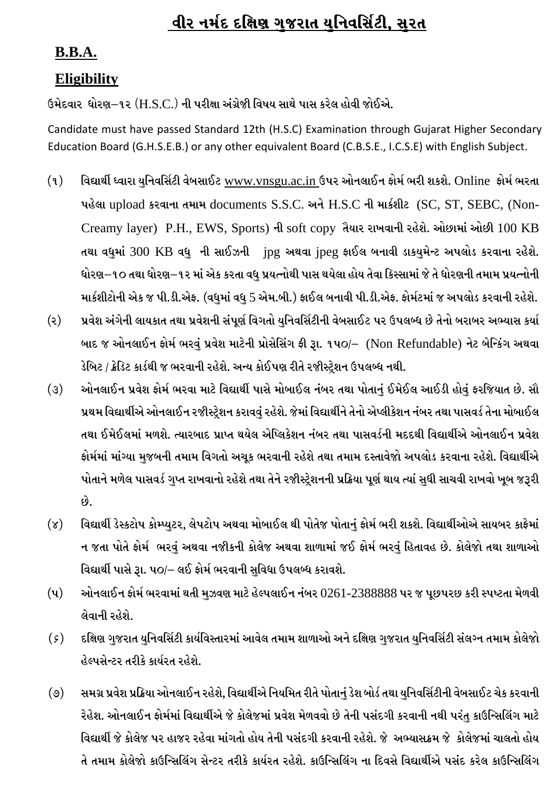# <u>વીર નર્મદ દક્ષિણ ગ</u>ુજરાત યનિવર્સિટી. સરત

# **B.B.A.**

# **Eligibility**

 $6$ મેદવાર ધોરણ $-$ ૧૨  $(H.S.C.)$  ની પરીક્ષા અંગ્રેજી વિષય સાથે પાસ કરેલ હોવી જોઈએ.

Candidate must have passed Standard 12th (H.S.C) Examination through Gujarat Higher Secondary Education Board (G.H.S.E.B.) or any other equivalent Board (C.B.S.E., I.C.S.E) with English Subject.

- $\mathbf{q}$ ) વિદ્યાર્થી ધ્વારા યુનિવર્સિટી વેબસાઈટ [www.vnsgu.ac.in](http://www.vnsgu.ac.in/) ઉપર ઓનલાઈન ફોર્મ ભરી શકશે. Online ફોર્મ ભરતા પહેલા upload કરવાના તમામ documents S.S.C. અને H.S.C ની માર્કશીટ (SC, ST, SEBC, (Non-Creamy layer) P.H., EWS, Sports) ની soft copy તૈયાર રાખવાની રહેશે. ઓછામાં ઓછી 100 KB તથા વધુમાં 300 KB વધુ ની સાઈઝની jpg અથવા jpeg ફાઈલ બનાવી ડાકયુમેન્ટ અપલોડ કરવાના રહેશે. ધોરણ–૧૦ તથા ધોરણ–૧૨ માં એક કરતા વધુ પ્રયત્નોથી પાસ થયેલા હોય તેવા કિસ્સામાં જે તે ધોરણની તમામ પ્રયત્નોની માર્કશીટોની એક જ પી.ડી.એફ. (વધમાં વધ 5 એમ.બી.) ફાઈલ બનાવી પી.ડી.એફ. ફોર્મટમાં જ અપલોડ કરવાની રહેશે.
- (૨) પ્રવેશ અંગેની લાયકાત તથા પ્રવેશની સંપૂર્ણ વિગતો યુનિવર્સિટીની વેબસાઈટ પર ઉપલબ્ધ છે તેનો બરાબર અભ્યાસ કર્યા બાદ જ ઓનલાઈન ફોર્મ ભરવં પ્રવેશ માટેની પ્રોસેસિંગ ફી રૂા. ૧૫૦/– (Non Refundable) નેટ બેન્કિંગ અથવા ડેબિટ / ક્રેડિટ કાર્ડથી જ ભરવાની રહેશે. અન્ય કોઈપણ રીતે રજીસ્ટ્રેશન ઉપલબ્ધ નથી.
- (૩) આોનલાઈન પ્રવેશ ફોર્મ ભરવા માટે વિદ્યાર્થી પાસે મોબાઈલ નંબર તથા પોતા<u>નું</u> ઈમેઈલ આઈડી હોવું ફરજિયાત છે. સૌ પ્રથમ વિદ્યાર્થીએ ઓનલાઈન રજીસ્ટ્રેશન કરાવવું રહેશે. જેમાં વિદ્યાર્થીને તેનો એપ્લીકેશન નંબર તથા પાસવર્ડ તેના મોબાઈલ તથા ઈમેઈલમાં મળશે. ત્યારબાદ પ્રાપ્ત થયેલ એપ્લિકેશન નંબર તથા પાસવર્ડની મદદથી વિદ્યાર્થીએ ઓનલાઈન પ્રવેશ કોર્મમાં માંગ્યા મજબની તમામ વિગતો અચક ભરવાની રહેશે તથા તમામ દસ્તાવેજો અપલોડ કરવાના રહેશે. વિદ્યાર્થીએ પોતાને મળેલ પાસવર્ડ ગુપ્ત રાખવાનો રહેશે તથા તેને રજીીસ્ટ્રેશનની પ્રક્રિયા પૂર્ણ થાય ત્યાં સુધી સાચવી રાખવો ખૂબ જરૂરી છે.
- (૪) વિદ્યાર્થી ડેસ્કટોપ કોમ્પ્યુટર, લેપટોપ અથવા મોબાઈલ થી પોતેજ પોતાનું ફોર્મ ભરી શકશે. વિદ્યાર્થીઓએ સાયબર કાફેમાં ન જતા પોતે ફોર્મ ભરવું અથવા નજીકની કોલેજ અથવા શાળામાં જઈ ફોર્મ ભરવું હિતાવહ છે. કોલેજો તથા શાળાઓ વિદ્યાર્થી પાસે રૂા. ૫૦/– લઈ ફોર્મ ભરવાની સુવિધા ઉપલબ્ધ કરાવશે.
- $(4)$  ઓનલાઈન ફોર્મ ભરવામાં થતી મુઝવણ માટે હેલ્પલાઈન નંબર  $0261$ - $2388888$  પર જ પૂછપરછ કરી સ્પષ્ટતા મેળવી લેવાની રહેશે.
- (*૬*) દક્ષિણ ગુજરાત યુનિવર્સિટી કાર્યવિસ્તારમાં આવેલ તમામ શાળાઓ અને દક્ષિણ ગુજરાત યુનિવર્સિટી સંલગ્ન તમામ કોલેજો હેલ્પસેન્ટર તરીકે કાર્યરત રહેશે.
- (૭) સમગ્ર પ્રવેશ પ્રક્રિયા ઓનલાઈન રહેશે, વિદ્યાર્થીએ નિયમિત રીતે પોતાનું ડેશ બોર્ડ તથા યુનિવર્સિટીની વેબસાઈટ ચેક કરવાની રેહેશ. ઓનલાઈન ફોર્મમાં વિદ્યાર્થીએ જે કોલેજમાં પ્રવેશ મેળવવો છે તેની પસંદગી કરવાની નથી પરંતુ કાઉન્સિલિંગ માટે વિદ્યાર્થી જે કોલેજ પર હાજર રહેવા માંગતો હોય તેની પસંદગી કરવાની રહેશે. જે અભ્યાસક્રમ જે કોલેજમાં ચાલતો હોય તે તમામ કોલેજો કાઉન્સિલિંગ સેન્ટર તરીકે કાર્યરત રહેશે. કાઉન્સિલિંગ ના દિવસે વિદ્યાર્થીએ પસંદ કરેલ કાઉન્સિલિંગ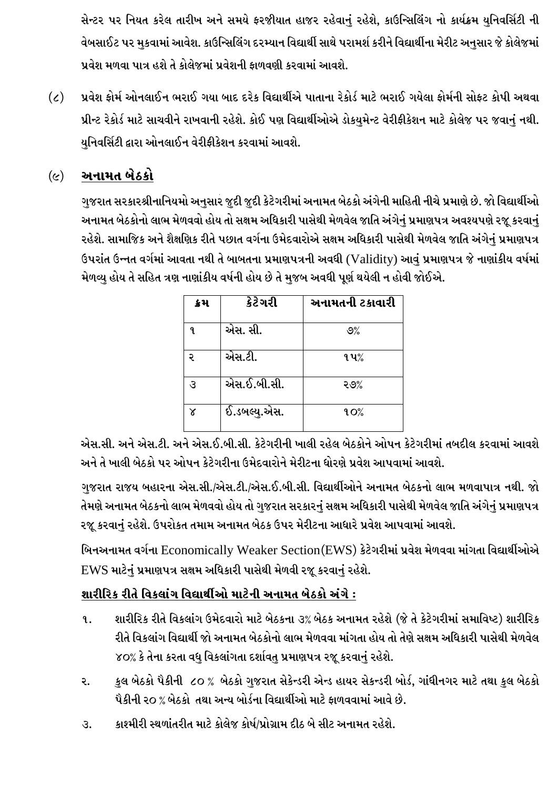સેન્ટર પર નિયત કરેલ તારીખ અને સમયે ફરજીયાત હાજર રહેવાનું રહેશે, કાઉન્સિલિંગ નો કાર્યક્રમ યુનિવર્સિટી ની વેબસાઈટ પર મુકવામાં આવેશ. કાઉન્સિલિંગ દરમ્યાન વિદ્યાર્થી સાથે પરામર્શ કરીને વિદ્યાર્થીના મેરીટ અનુસાર જે કોલેજમાં પ્રવેશ મળવા પાત્ર હશે તે કોલેજમાં પ્રવેશની કાળવણી કરવામાં આવશે.

પ્રવેશ ફોર્મ ઓનલાઈન ભરાઈ ગયા બાદ દરેક વિદ્યાર્થીએ પાતાના રેકોર્ડ માટે ભરાઈ ગયેલા ફોર્મની સોફ્ટ કોપી અથવા  $(\mathcal{S})$ પ્રીન્ટ રેકોર્ડ માટે સાચવીને રાખવાની રહેશે. કોઈ પણ વિદ્યાર્થીઓએ ડોકયમેન્ટ વેરીફીકેશન માટે કોલેજ પર જવાનં નથી. યુનિવર્સિટી દ્વારા ઓનલાઈન વેરીફીકેશન કરવામાં આવશે.

#### અનામત બેઠકો  $(\mathcal{C})$

ગજરાત સરકારશ્રીનાનિયમો અનસાર જદી જદી કેટેગરીમાં અનામત બેઠકો અંગેની માહિતી નીચે પ્રમાણે છે. જો વિદ્યાર્થીઓ અનામત બેઠકોનો લાભ મેળવવો હોય તો સક્ષમ અધિકારી પાસેથી મેળવેલ જાતિ અંગેનું પ્રમાણપત્ર અવશ્યપણે રજૂ કરવાનું રહેશે. સામાજિક અને શૈક્ષણિક રીતે પછાત વર્ગના ઉમેદવારોએ સક્ષમ અધિકારી પાસેથી મેળવેલ જાતિ અંગેનું પ્રમાણપત્ર ઉપરાંત ઉન્નત વર્ગમાં આવતા નથી તે બાબતના પ્રમાણપત્રની અવધી (Validity) આવં પ્રમાણપત્ર જે નાણાંકીય વર્ષમાં મેળવ્યુ હોય તે સહિત ત્રણ નાણાંકીય વર્ષની હોય છે તે મુજબ અવધી પૂર્ણ થયેલી ન હોવી જોઈએ.

| 노니 | ક્રેટેગરી    | અનામતની ટકાવારી |
|----|--------------|-----------------|
| 9. | એસ. સી.      | 9%              |
| ર  | એસ.ટી.       | ૧૫%             |
| З  | એસ.ઈ.બી.સી.  | २७%             |
| ४  | ઈ.ડબલ્યુ.એસ. | 90 <sub>6</sub> |

એસ.સી. અને એસ.ટી. અને એસ.ઈ.બી.સી. કેટેગરીની ખાલી રહેલ બેઠકોને ઓપન કેટેગરીમાં તબદીલ કરવામાં આવશે અને તે ખાલી બેઠકો પર ઓપન કેટેગરીના ઉમેદવારોને મેરીટના ધોરણે પ્રવેશ આપવામાં આવશે.

ગુજરાત રાજય બહારના એસ.સી./એસ.ટી./એસ.ઈ.બી.સી. વિદ્યાર્થીઓને અનામત બેઠકનો લાભ મળવાપાત્ર નથી. જો તેમણે અનામત બેઠકનો લાભ મેળવવો હોય તો ગજરાત સરકારનં સક્ષમ અધિકારી પાસેથી મેળવેલ જાતિ અંગેનં પ્રમાણપત્ર ૨જૂ કરવાનું રહેશે. ઉપરોકત તમામ અનામત બેઠક ઉપર મેરીટના આધારે પ્રવેશ આપવામાં આવશે.

બિનઅનામત વર્ગના Economically Weaker Section(EWS) કેટેગરીમાં પ્રવેશ મેળવવા માંગતા વિદ્યાર્થીઓએ EWS માટેનું પ્રમાણપત્ર સક્ષમ અધિકારી પાસેથી મેળવી રજૂ કરવાનું રહેશે.

## શારીરિક રીતે વિકલાંગ વિદ્યાર્થીઓ માટેની અનામત બેઠકો અંગે :

- શારીરિક રીતે વિકલાંગ ઉમેદવારો માટે બેઠકના ૩% બેઠક અનામત રહેશે (જે તે કેટેગરીમાં સમાવિષ્ટ) શારીરિક  $\mathbf{q}$ . રીતે વિકલાંગ વિદ્યાર્થી જો અનામત બેઠકોનો લાભ મેળવવા માંગતા હોય તો તેણે સક્ષમ અધિકારી પાસેથી મેળવેલ ૪૦% કે તેના કરતા વધુ વિકલાંગતા દર્શાવતુ પ્રમાણપત્ર રજૂ કરવાનું રહેશે.
- ્કુલ બેઠકો પૈકીની ૮૦ % બેઠકો ગુજરાત સેકેન્ડરી એન્ડ હાયર સેકન્ડરી બોર્ડ, ગાંધીનગર માટે તથા <u>કુ</u>લ બેઠકો ૨. પૈકીની ૨૦ % બેઠકો તથા અન્ય બોર્ડના વિદ્યાર્થીઓ માટે ફાળવવામાં આવે છે.
- કાશ્મીરી સ્થળાંતરીત માટે કોલેજ કોર્ષ/પ્રોગ્રામ દીઠ બે સીટ અનામત રહેશે.  $\mathcal{S}$ .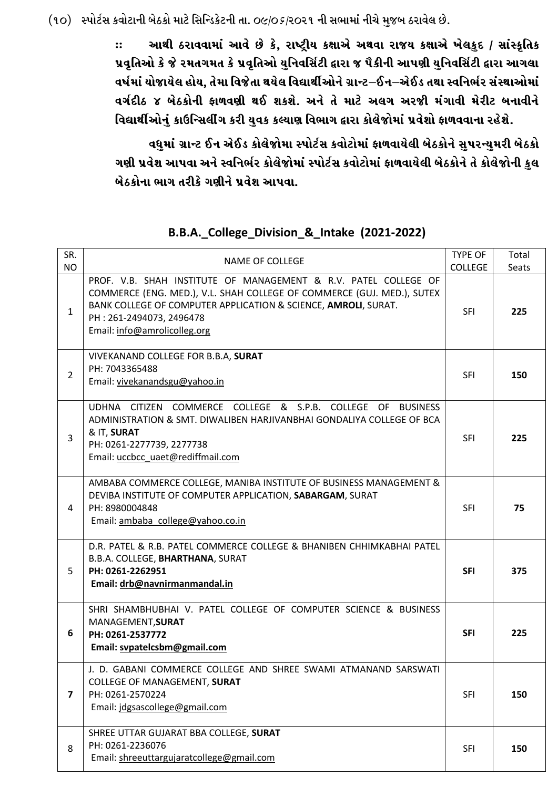(૧૦) સ્પોર્ટસ કવોટાની બેઠકો માટે સિન્ડિકેટની તા. o૯/os/૨૦૨૧ ની સભામાં નીચે મુજબ ઠરાવેલ છે.

આથી ઠરાવવામાં આવે છે કે, રાષ્ટ્રીય કક્ષાએ અથવા રાજય કક્ષાએ ખેલકુદ / સાંસ્કૃતિક  $\ddot{\cdot}$ પ્રવૃતિઓ કે જે રમતગમત કે પ્રવૃતિઓ યુનિવર્સિટી દ્વારા જ પૈકીની આપણી યુનિવર્સિટી દ્વારા આગલા વર્ષમાં યોજાયેલ હોય, તેમા વિજેતા થયેલ વિદ્યાર્થીઓને ગ્રાન્ટ $-$ ઈન $-$ એઈડ તથા સ્વનિર્ભર સંસ્થાઓમાં વર્ગદીઠ ૪ બેઠકોની ફાળવણી થઈ શકશે. અને તે માટે અલગ અરજી મંગાવી મેરીટ બનાવીને વિદ્યાર્થીઓનું કાઉન્સિલીંગ કરી યુવક કલ્યાણ વિભાગ દ્વારા કોલેજોમાં પ્રવેશો ફાળવવાના રહેશે.

વધુમાં ગ્રાન્ટ ઈન એઈડ કોલેજોમા સ્પોર્ટસ કવોટોમાં ફાળવાયેલી બેઠકોને સુપરન્યુમરી બેઠકો ગણી પ્રવેશ આપવા અને સ્વનિર્ભર કોલેજોમાં સ્પોર્ટસ કવોટોમાં ફાળવાયેલી બેઠકોને તે કોલેજોની કુલ બેઠકોના ભાગ તરીકે ગણીને પ્રવેશ આપવા.

| SR.<br><b>NO</b> | NAME OF COLLEGE                                                                                                                                                                                                                                                         | <b>TYPE OF</b><br><b>COLLEGE</b> | Total<br>Seats |
|------------------|-------------------------------------------------------------------------------------------------------------------------------------------------------------------------------------------------------------------------------------------------------------------------|----------------------------------|----------------|
| $\mathbf{1}$     | PROF. V.B. SHAH INSTITUTE OF MANAGEMENT & R.V. PATEL COLLEGE OF<br>COMMERCE (ENG. MED.), V.L. SHAH COLLEGE OF COMMERCE (GUJ. MED.), SUTEX<br>BANK COLLEGE OF COMPUTER APPLICATION & SCIENCE, AMROLI, SURAT.<br>PH: 261-2494073, 2496478<br>Email: info@amrolicolleg.org | <b>SFI</b>                       | 225            |
| $\overline{2}$   | VIVEKANAND COLLEGE FOR B.B.A, SURAT<br>PH: 7043365488<br>Email: vivekanandsgu@yahoo.in                                                                                                                                                                                  | <b>SFI</b>                       | 150            |
| 3                | UDHNA CITIZEN COMMERCE COLLEGE & S.P.B. COLLEGE OF BUSINESS<br>ADMINISTRATION & SMT. DIWALIBEN HARJIVANBHAI GONDALIYA COLLEGE OF BCA<br>& IT, SURAT<br>PH: 0261-2277739, 2277738<br>Email: uccbcc_uaet@rediffmail.com                                                   | <b>SFI</b>                       | 225            |
| 4                | AMBABA COMMERCE COLLEGE, MANIBA INSTITUTE OF BUSINESS MANAGEMENT &<br>DEVIBA INSTITUTE OF COMPUTER APPLICATION, SABARGAM, SURAT<br>PH: 8980004848<br>Email: ambaba college@yahoo.co.in                                                                                  | <b>SFI</b>                       | 75             |
| 5                | D.R. PATEL & R.B. PATEL COMMERCE COLLEGE & BHANIBEN CHHIMKABHAI PATEL<br>B.B.A. COLLEGE, BHARTHANA, SURAT<br>PH: 0261-2262951<br>Email: drb@navnirmanmandal.in                                                                                                          | <b>SFI</b>                       | 375            |
| 6                | SHRI SHAMBHUBHAI V. PATEL COLLEGE OF COMPUTER SCIENCE & BUSINESS<br>MANAGEMENT, SURAT<br>PH: 0261-2537772<br>Email: svpatelcsbm@gmail.com                                                                                                                               | <b>SFI</b>                       | 225            |
| 7                | J. D. GABANI COMMERCE COLLEGE AND SHREE SWAMI ATMANAND SARSWATI<br><b>COLLEGE OF MANAGEMENT, SURAT</b><br>PH: 0261-2570224<br>Email: idgsascollege@gmail.com                                                                                                            | <b>SFI</b>                       | 150            |
| 8                | SHREE UTTAR GUJARAT BBA COLLEGE, SURAT<br>PH: 0261-2236076<br>Email: shreeuttargujaratcollege@gmail.com                                                                                                                                                                 | <b>SFI</b>                       | 150            |

## B.B.A.\_College\_Division\_&\_Intake (2021-2022)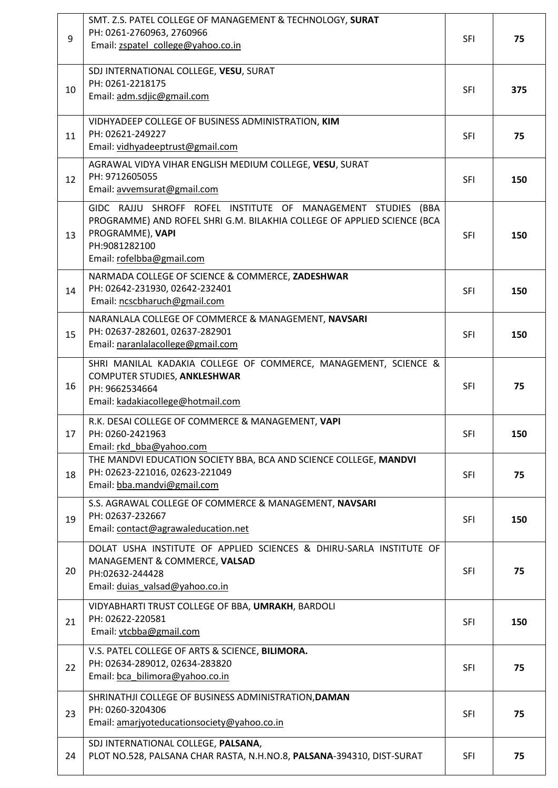| 9  | SMT. Z.S. PATEL COLLEGE OF MANAGEMENT & TECHNOLOGY, SURAT<br>PH: 0261-2760963, 2760966<br>Email: zspatel_college@yahoo.co.in                                                                              | <b>SFI</b> | 75  |
|----|-----------------------------------------------------------------------------------------------------------------------------------------------------------------------------------------------------------|------------|-----|
| 10 | SDJ INTERNATIONAL COLLEGE, VESU, SURAT<br>PH: 0261-2218175<br>Email: adm.sdjic@gmail.com                                                                                                                  | <b>SFI</b> | 375 |
| 11 | VIDHYADEEP COLLEGE OF BUSINESS ADMINISTRATION, KIM<br>PH: 02621-249227<br>Email: vidhyadeeptrust@gmail.com                                                                                                | <b>SFI</b> | 75  |
| 12 | AGRAWAL VIDYA VIHAR ENGLISH MEDIUM COLLEGE, VESU, SURAT<br>PH: 9712605055<br>Email: avvemsurat@gmail.com                                                                                                  | <b>SFI</b> | 150 |
| 13 | GIDC RAJJU SHROFF ROFEL INSTITUTE OF MANAGEMENT STUDIES (BBA<br>PROGRAMME) AND ROFEL SHRI G.M. BILAKHIA COLLEGE OF APPLIED SCIENCE (BCA<br>PROGRAMME), VAPI<br>PH:9081282100<br>Email: rofelbba@gmail.com | <b>SFI</b> | 150 |
| 14 | NARMADA COLLEGE OF SCIENCE & COMMERCE, ZADESHWAR<br>PH: 02642-231930, 02642-232401<br>Email: ncscbharuch@gmail.com                                                                                        | <b>SFI</b> | 150 |
| 15 | NARANLALA COLLEGE OF COMMERCE & MANAGEMENT, NAVSARI<br>PH: 02637-282601, 02637-282901<br>Email: naranlalacollege@gmail.com                                                                                | <b>SFI</b> | 150 |
| 16 | SHRI MANILAL KADAKIA COLLEGE OF COMMERCE, MANAGEMENT, SCIENCE &<br>COMPUTER STUDIES, ANKLESHWAR<br>PH: 9662534664<br>Email: kadakiacollege@hotmail.com                                                    | <b>SFI</b> | 75  |
| 17 | R.K. DESAI COLLEGE OF COMMERCE & MANAGEMENT, VAPI<br>PH: 0260-2421963<br>Email: rkd bba@yahoo.com                                                                                                         | <b>SFI</b> | 150 |
| 18 | THE MANDVI EDUCATION SOCIETY BBA, BCA AND SCIENCE COLLEGE, MANDVI<br>PH: 02623-221016, 02623-221049<br>Email: bba.mandvi@gmail.com                                                                        | <b>SFI</b> | 75  |
| 19 | S.S. AGRAWAL COLLEGE OF COMMERCE & MANAGEMENT, NAVSARI<br>PH: 02637-232667<br>Email: contact@agrawaleducation.net                                                                                         | <b>SFI</b> | 150 |
| 20 | DOLAT USHA INSTITUTE OF APPLIED SCIENCES & DHIRU-SARLA INSTITUTE OF<br>MANAGEMENT & COMMERCE, VALSAD<br>PH:02632-244428<br>Email: duias valsad@yahoo.co.in                                                | <b>SFI</b> | 75  |
| 21 | VIDYABHARTI TRUST COLLEGE OF BBA, UMRAKH, BARDOLI<br>PH: 02622-220581<br>Email: vtcbba@gmail.com                                                                                                          | <b>SFI</b> | 150 |
| 22 | V.S. PATEL COLLEGE OF ARTS & SCIENCE, BILIMORA.<br>PH: 02634-289012, 02634-283820<br>Email: bca_bilimora@yahoo.co.in                                                                                      | <b>SFI</b> | 75  |
| 23 | SHRINATHJI COLLEGE OF BUSINESS ADMINISTRATION, DAMAN<br>PH: 0260-3204306<br>Email: amarjyoteducationsociety@yahoo.co.in                                                                                   | <b>SFI</b> | 75  |
| 24 | SDJ INTERNATIONAL COLLEGE, PALSANA,<br>PLOT NO.528, PALSANA CHAR RASTA, N.H.NO.8, PALSANA-394310, DIST-SURAT                                                                                              | <b>SFI</b> | 75  |